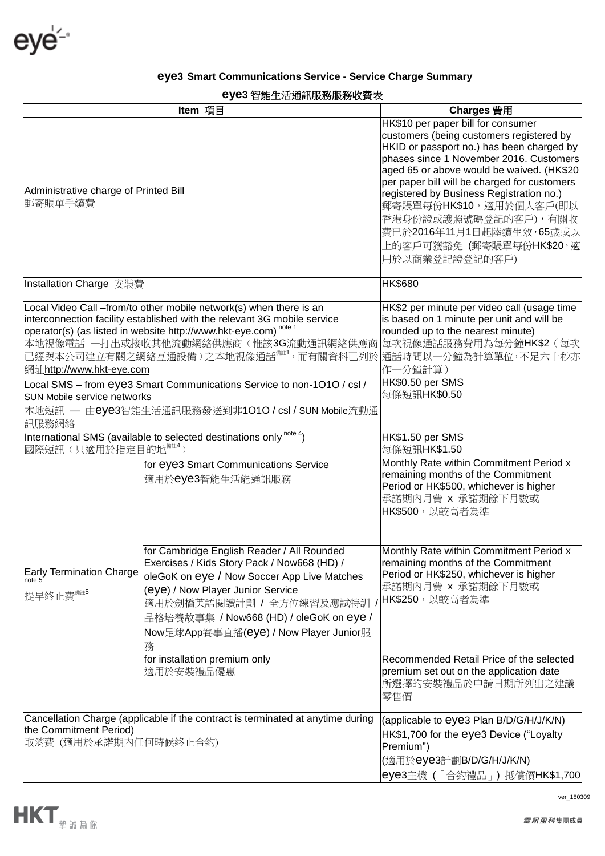eye<sup>14</sup>

## **eye3 Smart Communications Service - Service Charge Summary**

## **eye3** 智能生活通訊服務服務收費表

| 日加工/口型可以以初以切认员认<br>Item 項目                                                                                                                                                                                                                                                                                                                                                                                                                                                                                                                           |                                                                                                                                                                                                                                                                                                     | Charges 費用                                                                                                                                                                                                                                                                                                                                                                                                                                   |
|------------------------------------------------------------------------------------------------------------------------------------------------------------------------------------------------------------------------------------------------------------------------------------------------------------------------------------------------------------------------------------------------------------------------------------------------------------------------------------------------------------------------------------------------------|-----------------------------------------------------------------------------------------------------------------------------------------------------------------------------------------------------------------------------------------------------------------------------------------------------|----------------------------------------------------------------------------------------------------------------------------------------------------------------------------------------------------------------------------------------------------------------------------------------------------------------------------------------------------------------------------------------------------------------------------------------------|
| Administrative charge of Printed Bill<br>郵寄賬單手續費                                                                                                                                                                                                                                                                                                                                                                                                                                                                                                     |                                                                                                                                                                                                                                                                                                     | HK\$10 per paper bill for consumer<br>customers (being customers registered by<br>HKID or passport no.) has been charged by<br>phases since 1 November 2016. Customers<br>aged 65 or above would be waived. (HK\$20<br>per paper bill will be charged for customers<br>registered by Business Registration no.)<br>郵寄賬單每份HK\$10,適用於個人客戶(即以<br>香港身份證或護照號碼登記的客戶),有關收<br>費已於2016年11月1日起陸續生效,65歲或以<br>上的客戶可獲豁免 (郵寄賬單每份HK\$20,適<br>用於以商業登記證登記的客戶) |
| Installation Charge 安裝費                                                                                                                                                                                                                                                                                                                                                                                                                                                                                                                              |                                                                                                                                                                                                                                                                                                     | <b>HK\$680</b>                                                                                                                                                                                                                                                                                                                                                                                                                               |
| Local Video Call -from/to other mobile network(s) when there is an<br>interconnection facility established with the relevant 3G mobile service<br>operator(s) (as listed in website http://www.hkt-eye.com) <sup>note</sup><br>本地視像電話 一打出或接收其他流動網絡供應商(惟該3G流動通訊網絡供應商<br>已經與本公司建立有關之網絡互通設備 ) 之本地視像通話 <sup>"#1</sup> ,而有關資料已列於 通話時間以一分鐘為計算單位,不足六十秒亦<br>網址http://www.hkt-eye.com<br>Local SMS - from eye3 Smart Communications Service to non-1010 / csl /<br>SUN Mobile service networks<br>本地短訊 — 由eye3智能生活通訊服務發送到非1010 / csl / SUN Mobile流動通<br>訊服務網絡 |                                                                                                                                                                                                                                                                                                     | HK\$2 per minute per video call (usage time<br>is based on 1 minute per unit and will be<br>rounded up to the nearest minute)<br>每次視像通話服務費用為每分鐘HK\$2 (每次<br>作一分鐘計算)<br>HK\$0.50 per SMS<br>每條短訊HK\$0.50                                                                                                                                                                                                                                      |
| International SMS (available to selected destinations only <sup>note 4</sup> )<br>國際短訊(只適用於指定目的地 <sup>備註4</sup> )                                                                                                                                                                                                                                                                                                                                                                                                                                    |                                                                                                                                                                                                                                                                                                     | HK\$1.50 per SMS<br>每條短訊HK\$1.50                                                                                                                                                                                                                                                                                                                                                                                                             |
|                                                                                                                                                                                                                                                                                                                                                                                                                                                                                                                                                      | for eye3 Smart Communications Service<br>適用於eye3智能生活能通訊服務                                                                                                                                                                                                                                           | Monthly Rate within Commitment Period x<br>remaining months of the Commitment<br>Period or HK\$500, whichever is higher<br>承諾期內月費 x 承諾期餘下月數或<br>HK\$500,以較高者為準                                                                                                                                                                                                                                                                               |
| Early Termination Charge<br>提早終止費 <sup>備註5</sup>                                                                                                                                                                                                                                                                                                                                                                                                                                                                                                     | for Cambridge English Reader / All Rounded<br>Exercises / Kids Story Pack / Now668 (HD) /<br>oleGoK on eye / Now Soccer App Live Matches<br>(eye) / Now Player Junior Service<br>適用於劍橋英語閱讀計劃 / 全方位練習及應試特訓<br>品格培養故事集 / Now668 (HD) / oleGoK on eye /<br>Now足球App賽事直播(eye) / Now Player Junior服<br>務 | Monthly Rate within Commitment Period x<br>remaining months of the Commitment<br>Period or HK\$250, whichever is higher<br>承諾期內月費 x 承諾期餘下月數或<br>HK\$250,以較高者為準                                                                                                                                                                                                                                                                               |
|                                                                                                                                                                                                                                                                                                                                                                                                                                                                                                                                                      | for installation premium only<br>適用於安裝禮品優惠                                                                                                                                                                                                                                                          | Recommended Retail Price of the selected<br>premium set out on the application date<br>所選擇的安裝禮品於申請日期所列出之建議<br>零售價                                                                                                                                                                                                                                                                                                                            |
| Cancellation Charge (applicable if the contract is terminated at anytime during<br>the Commitment Period)<br> 取消費 (適用於承諾期內任何時候終止合約)                                                                                                                                                                                                                                                                                                                                                                                                                  |                                                                                                                                                                                                                                                                                                     | (applicable to eye3 Plan B/D/G/H/J/K/N)<br>HK\$1,700 for the eye3 Device ("Loyalty<br>Premium")<br>(適用於eye3計劃B/D/G/H/J/K/N)<br>eye3主機 (「合約禮品」) 抵償價HK\$1,700                                                                                                                                                                                                                                                                                  |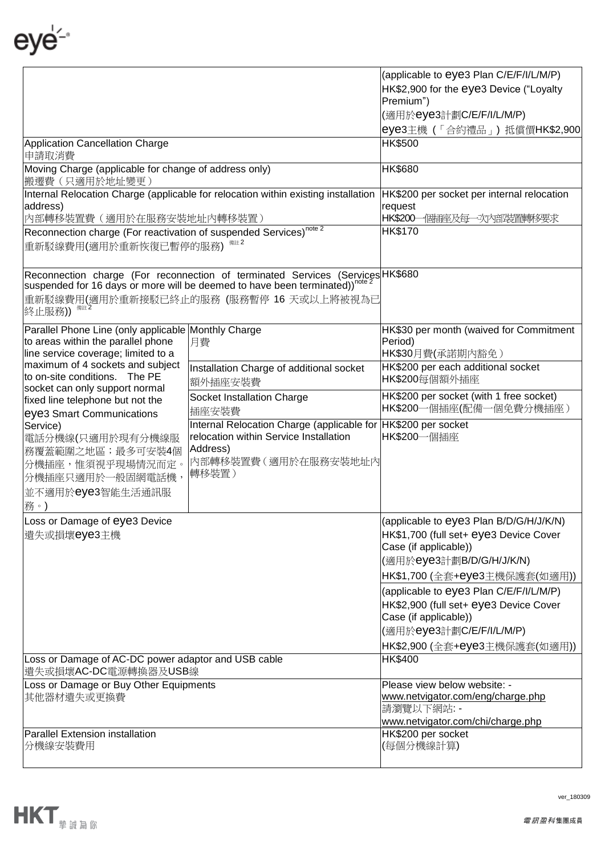eye<sup>⊥</sup>

|                                                                                                | (applicable to eye3 Plan C/E/F/I/L/M/P)                                                  |                                                                    |
|------------------------------------------------------------------------------------------------|------------------------------------------------------------------------------------------|--------------------------------------------------------------------|
|                                                                                                | HK\$2,900 for the eye3 Device ("Loyalty                                                  |                                                                    |
|                                                                                                | Premium")                                                                                |                                                                    |
|                                                                                                |                                                                                          | (適用於eye3計劃C/E/F/I/L/M/P)                                           |
|                                                                                                |                                                                                          | eye3主機 (「合約禮品」) 抵償價HK\$2,900                                       |
| Application Cancellation Charge<br>申請取消費                                                       | <b>HK\$500</b>                                                                           |                                                                    |
| Moving Charge (applicable for change of address only)                                          | <b>HK\$680</b>                                                                           |                                                                    |
| 搬遷費 (只適用於地址變更)                                                                                 |                                                                                          |                                                                    |
| Internal Relocation Charge (applicable for relocation within existing installation<br>address) | HK\$200 per socket per internal relocation<br>request                                    |                                                                    |
| 內部轉移裝置費 (適用於在服務安裝地址內轉移裝置)                                                                      | HK\$200 個插座及每一次內部裝置轉移要求                                                                  |                                                                    |
| Reconnection charge (For reactivation of suspended Services) <sup>note 2</sup>                 | HK\$170                                                                                  |                                                                    |
| 重新駁線費用(適用於重新恢復已暫停的服務)                                                                          |                                                                                          |                                                                    |
|                                                                                                |                                                                                          |                                                                    |
|                                                                                                | Reconnection charge (For reconnection of terminated Services (Services HK\$680           |                                                                    |
|                                                                                                | Suspended for 16 days or more will be deemed to have been terminated)) <sup>note 2</sup> |                                                                    |
| 備註 2                                                                                           | 重新駁線費用(適用於重新接駁已終止的服務 (服務暫停 16 天或以上將被視為已                                                  |                                                                    |
| 終止服務))                                                                                         |                                                                                          |                                                                    |
| Parallel Phone Line (only applicable Monthly Charge                                            |                                                                                          | HK\$30 per month (waived for Commitment                            |
| to areas within the parallel phone                                                             | 月費                                                                                       | Period)                                                            |
| line service coverage; limited to a<br>maximum of 4 sockets and subject                        |                                                                                          | HK\$30月費(承諾期內豁免)                                                   |
| to on-site conditions. The PE                                                                  | Installation Charge of additional socket                                                 | HK\$200 per each additional socket<br>HK\$200每個額外插座                |
| socket can only support normal                                                                 | 額外插座安裝費                                                                                  |                                                                    |
| fixed line telephone but not the                                                               | Socket Installation Charge<br>插座安裝費                                                      | HK\$200 per socket (with 1 free socket)<br>HK\$200一個插座(配備一個免費分機插座) |
| eye3 Smart Communications<br>Service)                                                          | Internal Relocation Charge (applicable for HK\$200 per socket                            |                                                                    |
| 電話分機線(只適用於現有分機線服                                                                               | relocation within Service Installation                                                   | HK\$200一個插座                                                        |
| 務覆蓋範圍之地區;最多可安裝4個                                                                               | Address)                                                                                 |                                                                    |
| 分機插座,惟須視乎現場情況而定。                                                                               | 内部轉移裝置費(適用於在服務安裝地址內                                                                      |                                                                    |
| 分機插座只適用於一般固網電話機,                                                                               | 轉移裝置)                                                                                    |                                                                    |
| 並不適用於eye3智能生活通訊服                                                                               |                                                                                          |                                                                    |
| 務。)                                                                                            |                                                                                          |                                                                    |
| Loss or Damage of eye3 Device                                                                  |                                                                                          | (applicable to eye3 Plan B/D/G/H/J/K/N)                            |
| 遗失或損壞eye3主機                                                                                    |                                                                                          | HK\$1,700 (full set+ eye3 Device Cover                             |
|                                                                                                |                                                                                          | Case (if applicable))                                              |
|                                                                                                |                                                                                          | (適用於eye3計劃B/D/G/H/J/K/N)                                           |
|                                                                                                |                                                                                          | HK\$1,700 (全套+eye3主機保護套(如適用))                                      |
|                                                                                                |                                                                                          | (applicable to eye3 Plan C/E/F/I/L/M/P)                            |
|                                                                                                |                                                                                          | HK\$2,900 (full set+ eye3 Device Cover                             |
|                                                                                                |                                                                                          | Case (if applicable))                                              |
|                                                                                                | (適用於eye3計劃C/E/F/I/L/M/P)                                                                 |                                                                    |
|                                                                                                | HK\$2,900 (全套+eye3主機保護套(如適用))                                                            |                                                                    |
| Loss or Damage of AC-DC power adaptor and USB cable                                            | HK\$400                                                                                  |                                                                    |
| 遺失或損壞AC-DC電源轉換器及USB線                                                                           |                                                                                          |                                                                    |
| Loss or Damage or Buy Other Equipments                                                         | Please view below website: -                                                             |                                                                    |
| 其他器材遺失或更換費                                                                                     | www.netvigator.com/eng/charge.php                                                        |                                                                    |
|                                                                                                |                                                                                          | 請瀏覽以下網站: -<br>www.netvigator.com/chi/charge.php                    |
| Parallel Extension installation                                                                |                                                                                          | HK\$200 per socket                                                 |
| 分機線安裝費用                                                                                        |                                                                                          | (每個分機線計算)                                                          |
|                                                                                                |                                                                                          |                                                                    |